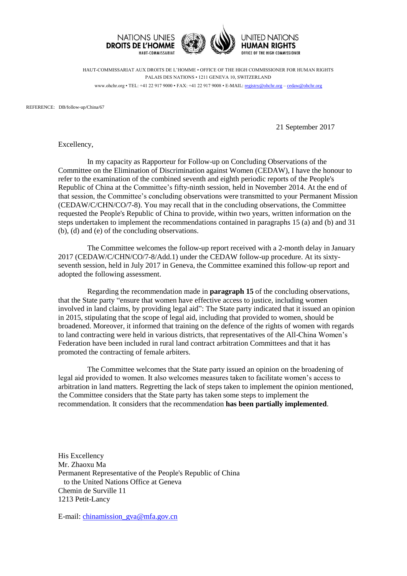

HAUT-COMMISSARIAT AUX DROITS DE L'HOMME • OFFICE OF THE HIGH COMMISSIONER FOR HUMAN RIGHTS PALAIS DES NATIONS • 1211 GENEVA 10, SWITZERLAND www.ohchr.org • TEL: +41 22 917 9000 • FAX: +41 22 917 9008 • E-MAIL: [registry@ohchr.org](mailto:registry@ohchr.org) – [cedaw@ohchr.org](mailto:cedaw@ohchr.org)

REFERENCE: DB/follow-up/China/67

21 September 2017

Excellency,

In my capacity as Rapporteur for Follow-up on Concluding Observations of the Committee on the Elimination of Discrimination against Women (CEDAW), I have the honour to refer to the examination of the combined seventh and eighth periodic reports of the People's Republic of China at the Committee's fifty-ninth session, held in November 2014. At the end of that session, the Committee's concluding observations were transmitted to your Permanent Mission (CEDAW/C/CHN/CO/7-8). You may recall that in the concluding observations, the Committee requested the People's Republic of China to provide, within two years, written information on the steps undertaken to implement the recommendations contained in paragraphs 15 (a) and (b) and 31 (b), (d) and (e) of the concluding observations.

The Committee welcomes the follow-up report received with a 2-month delay in January 2017 (CEDAW/C/CHN/CO/7-8/Add.1) under the CEDAW follow-up procedure. At its sixtyseventh session, held in July 2017 in Geneva, the Committee examined this follow-up report and adopted the following assessment.

Regarding the recommendation made in **paragraph 15** of the concluding observations, that the State party "ensure that women have effective access to justice, including women involved in land claims, by providing legal aid": The State party indicated that it issued an opinion in 2015, stipulating that the scope of legal aid, including that provided to women, should be broadened. Moreover, it informed that training on the defence of the rights of women with regards to land contracting were held in various districts, that representatives of the All-China Women's Federation have been included in rural land contract arbitration Committees and that it has promoted the contracting of female arbiters.

The Committee welcomes that the State party issued an opinion on the broadening of legal aid provided to women. It also welcomes measures taken to facilitate women's access to arbitration in land matters. Regretting the lack of steps taken to implement the opinion mentioned, the Committee considers that the State party has taken some steps to implement the recommendation. It considers that the recommendation **has been partially implemented**.

His Excellency Mr. Zhaoxu Ma Permanent Representative of the People's Republic of China to the United Nations Office at Geneva Chemin de Surville 11 1213 Petit-Lancy

E-mail: [chinamission\\_gva@mfa.gov.cn](mailto:chinamission_gva@mfa.gov.cn)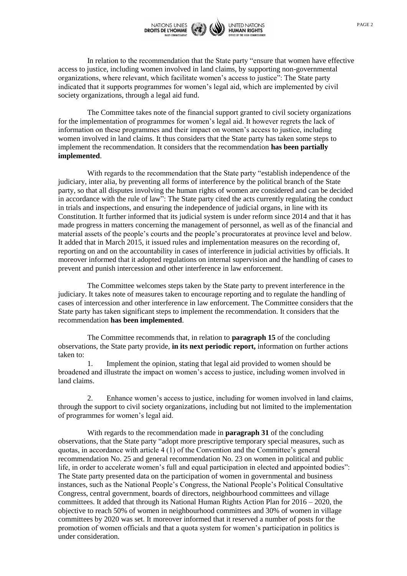

In relation to the recommendation that the State party "ensure that women have effective access to justice, including women involved in land claims, by supporting non-governmental organizations, where relevant, which facilitate women's access to justice": The State party indicated that it supports programmes for women's legal aid, which are implemented by civil society organizations, through a legal aid fund.

The Committee takes note of the financial support granted to civil society organizations for the implementation of programmes for women's legal aid. It however regrets the lack of information on these programmes and their impact on women's access to justice, including women involved in land claims. It thus considers that the State party has taken some steps to implement the recommendation. It considers that the recommendation **has been partially implemented**.

With regards to the recommendation that the State party "establish independence of the judiciary, inter alia, by preventing all forms of interference by the political branch of the State party, so that all disputes involving the human rights of women are considered and can be decided in accordance with the rule of law": The State party cited the acts currently regulating the conduct in trials and inspections, and ensuring the independence of judicial organs, in line with its Constitution. It further informed that its judicial system is under reform since 2014 and that it has made progress in matters concerning the management of personnel, as well as of the financial and material assets of the people's courts and the people's procuratorates at province level and below. It added that in March 2015, it issued rules and implementation measures on the recording of, reporting on and on the accountability in cases of interference in judicial activities by officials. It moreover informed that it adopted regulations on internal supervision and the handling of cases to prevent and punish intercession and other interference in law enforcement.

The Committee welcomes steps taken by the State party to prevent interference in the judiciary. It takes note of measures taken to encourage reporting and to regulate the handling of cases of intercession and other interference in law enforcement. The Committee considers that the State party has taken significant steps to implement the recommendation. It considers that the recommendation **has been implemented**.

The Committee recommends that, in relation to **paragraph 15** of the concluding observations, the State party provide, **in its next periodic report,** information on further actions taken to:

1. Implement the opinion, stating that legal aid provided to women should be broadened and illustrate the impact on women's access to justice, including women involved in land claims.

2. Enhance women's access to justice, including for women involved in land claims, through the support to civil society organizations, including but not limited to the implementation of programmes for women's legal aid.

With regards to the recommendation made in **paragraph 31** of the concluding observations, that the State party "adopt more prescriptive temporary special measures, such as quotas, in accordance with article 4 (1) of the Convention and the Committee's general recommendation No. 25 and general recommendation No. 23 on women in political and public life, in order to accelerate women's full and equal participation in elected and appointed bodies": The State party presented data on the participation of women in governmental and business instances, such as the National People's Congress, the National People's Political Consultative Congress, central government, boards of directors, neighbourhood committees and village committees. It added that through its National Human Rights Action Plan for 2016 – 2020, the objective to reach 50% of women in neighbourhood committees and 30% of women in village committees by 2020 was set. It moreover informed that it reserved a number of posts for the promotion of women officials and that a quota system for women's participation in politics is under consideration.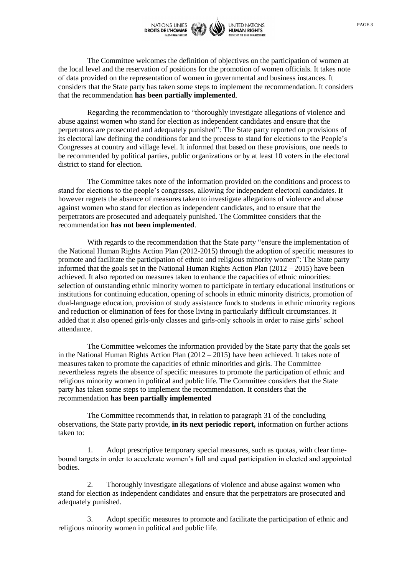

The Committee welcomes the definition of objectives on the participation of women at the local level and the reservation of positions for the promotion of women officials. It takes note of data provided on the representation of women in governmental and business instances. It considers that the State party has taken some steps to implement the recommendation. It considers that the recommendation **has been partially implemented**.

Regarding the recommendation to "thoroughly investigate allegations of violence and abuse against women who stand for election as independent candidates and ensure that the perpetrators are prosecuted and adequately punished": The State party reported on provisions of its electoral law defining the conditions for and the process to stand for elections to the People's Congresses at country and village level. It informed that based on these provisions, one needs to be recommended by political parties, public organizations or by at least 10 voters in the electoral district to stand for election.

The Committee takes note of the information provided on the conditions and process to stand for elections to the people's congresses, allowing for independent electoral candidates. It however regrets the absence of measures taken to investigate allegations of violence and abuse against women who stand for election as independent candidates, and to ensure that the perpetrators are prosecuted and adequately punished. The Committee considers that the recommendation **has not been implemented**.

With regards to the recommendation that the State party "ensure the implementation of the National Human Rights Action Plan (2012-2015) through the adoption of specific measures to promote and facilitate the participation of ethnic and religious minority women": The State party informed that the goals set in the National Human Rights Action Plan  $(2012 - 2015)$  have been achieved. It also reported on measures taken to enhance the capacities of ethnic minorities: selection of outstanding ethnic minority women to participate in tertiary educational institutions or institutions for continuing education, opening of schools in ethnic minority districts, promotion of dual-language education, provision of study assistance funds to students in ethnic minority regions and reduction or elimination of fees for those living in particularly difficult circumstances. It added that it also opened girls-only classes and girls-only schools in order to raise girls' school attendance.

The Committee welcomes the information provided by the State party that the goals set in the National Human Rights Action Plan  $(2012 – 2015)$  have been achieved. It takes note of measures taken to promote the capacities of ethnic minorities and girls. The Committee nevertheless regrets the absence of specific measures to promote the participation of ethnic and religious minority women in political and public life. The Committee considers that the State party has taken some steps to implement the recommendation. It considers that the recommendation **has been partially implemented**

The Committee recommends that, in relation to paragraph 31 of the concluding observations, the State party provide, **in its next periodic report,** information on further actions taken to:

1. Adopt prescriptive temporary special measures, such as quotas, with clear timebound targets in order to accelerate women's full and equal participation in elected and appointed bodies.

2. Thoroughly investigate allegations of violence and abuse against women who stand for election as independent candidates and ensure that the perpetrators are prosecuted and adequately punished.

3. Adopt specific measures to promote and facilitate the participation of ethnic and religious minority women in political and public life.